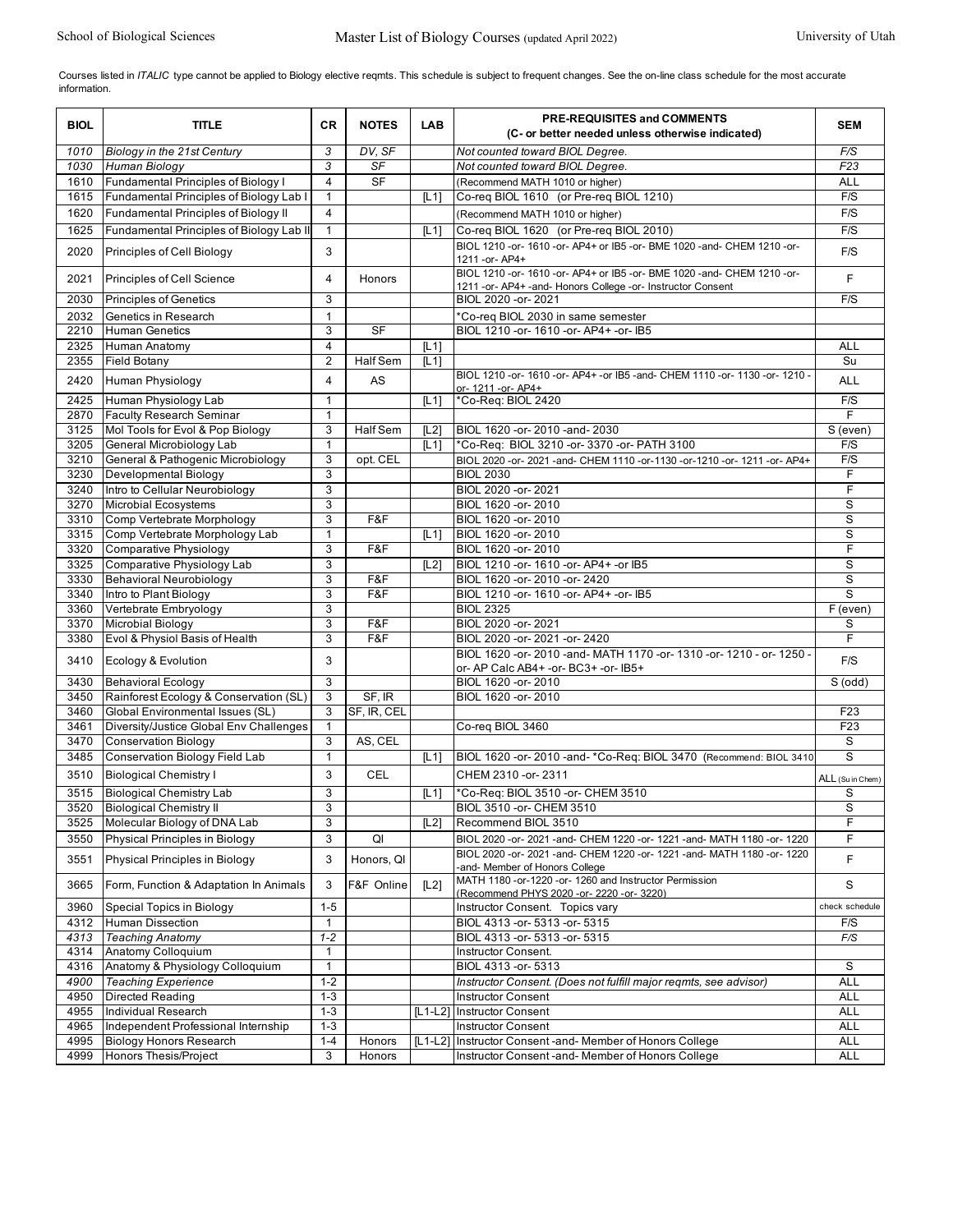Courses listed in ITALIC type cannot be applied to Biology elective reqmts. This schedule is subject to frequent changes. See the on-line class schedule for the most accurate information.

| <b>BIOL</b>  | <b>TITLE</b>                                       | <b>CR</b>           | <b>NOTES</b>    | <b>LAB</b>       | PRE-REQUISITES and COMMENTS<br>(C- or better needed unless otherwise indicated)                                                           | <b>SEM</b>       |
|--------------|----------------------------------------------------|---------------------|-----------------|------------------|-------------------------------------------------------------------------------------------------------------------------------------------|------------------|
| 1010         | Biology in the 21st Century                        | 3                   | DV. SF          |                  | Not counted toward BIOL Degree.                                                                                                           | F/S              |
| 1030         | Human Biology                                      | 3                   | SF              |                  | Not counted toward BIOL Degree.                                                                                                           | F23              |
| 1610         | Fundamental Principles of Biology I                | 4                   | <b>SF</b>       |                  | (Recommend MATH 1010 or higher)                                                                                                           | <b>ALL</b>       |
| 1615         | Fundamental Principles of Biology Lab I            | $\mathbf{1}$        |                 | [11]             | Co-req BIOL 1610 (or Pre-req BIOL 1210)                                                                                                   | F/S              |
| 1620         | <b>Fundamental Principles of Biology II</b>        | $\overline{4}$      |                 |                  | (Recommend MATH 1010 or higher)                                                                                                           | F/S              |
| 1625         | Fundamental Principles of Biology Lab II           | $\mathbf{1}$        |                 | [L1]             | Co-reg BIOL 1620 (or Pre-reg BIOL 2010)                                                                                                   | F/S              |
| 2020         | Principles of Cell Biology                         | 3                   |                 |                  | BIOL 1210 -or- 1610 -or- AP4+ or IB5 -or- BME 1020 -and- CHEM 1210 -or-<br>1211 - or - AP4+                                               | F/S              |
| 2021         | Principles of Cell Science                         | 4                   | Honors          |                  | BIOL 1210 -or- 1610 -or- AP4+ or IB5 -or- BME 1020 -and- CHEM 1210 -or-<br>1211 - or- AP4+ - and- Honors College - or- Instructor Consent | F                |
| 2030         | <b>Principles of Genetics</b>                      | 3                   |                 |                  | BIOL 2020 - or - 2021                                                                                                                     | F/S              |
| 2032         | Genetics in Research                               | $\mathbf{1}$        |                 |                  | *Co-req BIOL 2030 in same semester                                                                                                        |                  |
| 2210         | <b>Human Genetics</b>                              | 3                   | <b>SF</b>       |                  | BIOL 1210 - or - 1610 - or - AP4 + - or - IB5                                                                                             |                  |
| 2325         | Human Anatomy                                      | 4                   |                 | $\overline{L11}$ |                                                                                                                                           | <b>ALL</b>       |
| 2355         | <b>Field Botany</b>                                | $\overline{2}$      | Half Sem        | [L1]             |                                                                                                                                           | Su               |
| 2420         | Human Physiology                                   | 4                   | AS              |                  | BIOL 1210 -or- 1610 -or- AP4+ -or IB5 -and- CHEM 1110 -or- 1130 -or- 1210 -<br>or- 1211 - or- AP4+                                        | <b>ALL</b>       |
| 2425         | Human Physiology Lab                               | 1                   |                 | [L1]             | *Co-Req: BIOL 2420                                                                                                                        | F/S              |
| 2870         | <b>Faculty Research Seminar</b>                    | $\mathbf{1}$        |                 |                  |                                                                                                                                           | F                |
| 3125         | Mol Tools for Evol & Pop Biology                   | 3                   | <b>Half Sem</b> | [L2]             | BIOL 1620 -or-2010 -and-2030                                                                                                              | S (even)         |
| 3205         | General Microbiology Lab                           | $\mathbf{1}$        |                 | [L1]             | *Co-Req: BIOL 3210 -or- 3370 -or- PATH 3100                                                                                               | F/S              |
| 3210         | General & Pathogenic Microbiology                  | 3                   | opt. CEL        |                  | BIOL 2020 -or- 2021 -and- CHEM 1110 -or-1130 -or-1210 -or- 1211 -or- AP4+                                                                 | F/S              |
| 3230         | Developmental Biology                              | 3<br>$\overline{3}$ |                 |                  | <b>BIOL 2030</b><br>BIOL 2020 - or - 2021                                                                                                 | F<br>F           |
| 3240<br>3270 | Intro to Cellular Neurobiology                     | 3                   |                 |                  | BIOL 1620 - or - 2010                                                                                                                     | S                |
| 3310         | Microbial Ecosystems<br>Comp Vertebrate Morphology | 3                   | F&F             |                  | BIOL 1620 - or - 2010                                                                                                                     | S                |
| 3315         | Comp Vertebrate Morphology Lab                     | $\mathbf{1}$        |                 | [L1]             | BIOL 1620 - or - 2010                                                                                                                     | S                |
| 3320         | Comparative Physiology                             | 3                   | F&F             |                  | BIOL 1620 -or-2010                                                                                                                        | F                |
| 3325         | Comparative Physiology Lab                         | 3                   |                 | [L2]             | BIOL 1210 -or- 1610 -or- AP4+ -or IB5                                                                                                     | S                |
| 3330         | Behavioral Neurobiology                            | 3                   | F&F             |                  | BIOL 1620 - or - 2010 - or - 2420                                                                                                         | S                |
| 3340         | Intro to Plant Biology                             | 3                   | F&F             |                  | BIOL 1210 -or- 1610 -or- AP4+ -or- IB5                                                                                                    | S                |
| 3360         | Vertebrate Embryology                              | 3                   |                 |                  | <b>BIOL 2325</b>                                                                                                                          | F (even)         |
| 3370         | <b>Microbial Biology</b>                           | 3                   | F&F             |                  | BIOL 2020 - or - 2021                                                                                                                     | S                |
| 3380         | Evol & Physiol Basis of Health                     | 3                   | F&F             |                  | BIOL 2020 - or - 2021 - or - 2420                                                                                                         | F                |
| 3410         | Ecology & Evolution                                | 3                   |                 |                  | BIOL 1620 -or- 2010 -and- MATH 1170 -or- 1310 -or- 1210 - or- 1250 -<br>or- AP Calc AB4+ -or- BC3+ -or- IB5+                              | F/S              |
| 3430         | <b>Behavioral Ecology</b>                          | $\overline{3}$      |                 |                  | BIOL 1620 - or - 2010                                                                                                                     | S(odd)           |
| 3450         | Rainforest Ecology & Conservation (SL)             | 3                   | SF, IR          |                  | BIOL 1620 - or - 2010                                                                                                                     |                  |
| 3460         | Global Environmental Issues (SL)                   | 3                   | SF, IR, CEL     |                  |                                                                                                                                           | F <sub>23</sub>  |
| 3461         | Diversity/Justice Global Env Challenges            | $\mathbf{1}$        |                 |                  | Co-req BIOL 3460                                                                                                                          | F <sub>23</sub>  |
| 3470         | <b>Conservation Biology</b>                        | 3                   | AS, CEL         |                  |                                                                                                                                           | S                |
| 3485         | Conservation Biology Field Lab                     | $\mathbf{1}$        |                 | [L1]             | BIOL 1620 - or- 2010 - and- * Co-Req: BIOL 3470 (Recommend: BIOL 3410)                                                                    | s                |
| 3510         | <b>Biological Chemistry I</b>                      | 3                   | CEL             |                  | CHEM 2310 -or-2311                                                                                                                        | ALL (Su in Chem) |
| 3515         | <b>Biological Chemistry Lab</b>                    | 3                   |                 | [L1]             | *Co-Req: BIOL 3510 -or- CHEM 3510                                                                                                         | S                |
| 3520         | <b>Biological Chemistry II</b>                     | 3                   |                 |                  | BIOL 3510 - or- CHEM 3510                                                                                                                 | S                |
| 3525         | Molecular Biology of DNA Lab                       | 3                   |                 | [L2]             | Recommend BIOL 3510                                                                                                                       | F                |
| 3550         | Physical Principles in Biology                     | 3                   | QI              |                  | BIOL 2020 -or- 2021 -and- CHEM 1220 -or- 1221 -and- MATH 1180 -or- 1220                                                                   | F                |
| 3551         | Physical Principles in Biology                     | 3                   | Honors, QI      |                  | BIOL 2020 -or- 2021 -and- CHEM 1220 -or- 1221 -and- MATH 1180 -or- 1220<br>-and- Member of Honors College                                 | F                |
| 3665         | Form, Function & Adaptation In Animals             | 3                   | F&F Online      | [L2]             | MATH 1180 - or-1220 - or- 1260 and Instructor Permission<br>(Recommend PHYS 2020 - or- 2220 - or- 3220)                                   | S                |
| 3960         | Special Topics in Biology                          | $1 - 5$             |                 |                  | Instructor Consent. Topics vary                                                                                                           | check schedule   |
| 4312         | Human Dissection                                   | $\mathbf{1}$        |                 |                  | BIOL 4313 -or- 5313 -or- 5315                                                                                                             | F/S              |
| 4313         | <b>Teaching Anatomy</b>                            | $1 - 2$             |                 |                  | BIOL 4313 - or - 5313 - or - 5315                                                                                                         | F/S              |
| 4314         | Anatomy Colloquium                                 | 1                   |                 |                  | Instructor Consent.                                                                                                                       |                  |
| 4316         | Anatomy & Physiology Colloquium                    | $\mathbf{1}$        |                 |                  | BIOL 4313 -or- 5313                                                                                                                       | S                |
| 4900         | <b>Teaching Experience</b>                         | $1 - 2$             |                 |                  | Instructor Consent. (Does not fulfill major regmts, see advisor)                                                                          | <b>ALL</b>       |
| 4950         | <b>Directed Reading</b>                            | $1 - 3$             |                 |                  | <b>Instructor Consent</b>                                                                                                                 | ALL              |
| 4955         | <b>Individual Research</b>                         | $1 - 3$             |                 | $[L1-L2]$        | <b>Instructor Consent</b>                                                                                                                 | ALL              |
| 4965         | Independent Professional Internship                | $1 - 3$             |                 |                  | <b>Instructor Consent</b>                                                                                                                 | ALL              |
| 4995         | <b>Biology Honors Research</b>                     | $1 - 4$             | Honors          | $[L1-L2]$        | Instructor Consent -and- Member of Honors College                                                                                         | <b>ALL</b>       |
| 4999         | Honors Thesis/Project                              | 3                   | Honors          |                  | Instructor Consent-and- Member of Honors College                                                                                          | <b>ALL</b>       |